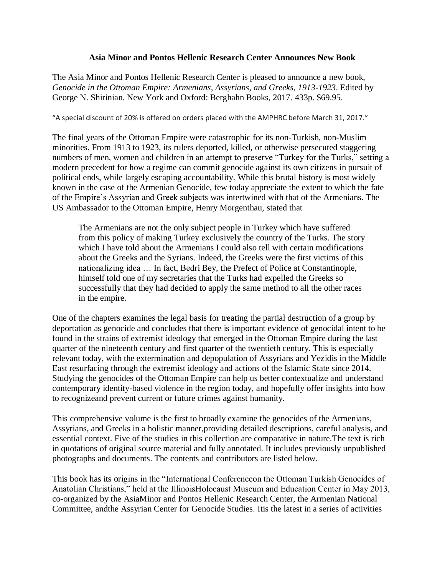## **Asia Minor and Pontos Hellenic Research Center Announces New Book**

The Asia Minor and Pontos Hellenic Research Center is pleased to announce a new book, *Genocide in the Ottoman Empire: Armenians, Assyrians, and Greeks, 1913-1923*. Edited by George N. Shirinian. New York and Oxford: Berghahn Books, 2017. 433p. \$69.95.

"A special discount of 20% is offered on orders placed with the AMPHRC before March 31, 2017."

The final years of the Ottoman Empire were catastrophic for its non-Turkish, non-Muslim minorities. From 1913 to 1923, its rulers deported, killed, or otherwise persecuted staggering numbers of men, women and children in an attempt to preserve "Turkey for the Turks," setting a modern precedent for how a regime can commit genocide against its own citizens in pursuit of political ends, while largely escaping accountability. While this brutal history is most widely known in the case of the Armenian Genocide, few today appreciate the extent to which the fate of the Empire's Assyrian and Greek subjects was intertwined with that of the Armenians. The US Ambassador to the Ottoman Empire, Henry Morgenthau, stated that

The Armenians are not the only subject people in Turkey which have suffered from this policy of making Turkey exclusively the country of the Turks. The story which I have told about the Armenians I could also tell with certain modifications about the Greeks and the Syrians. Indeed, the Greeks were the first victims of this nationalizing idea … In fact, Bedri Bey, the Prefect of Police at Constantinople, himself told one of my secretaries that the Turks had expelled the Greeks so successfully that they had decided to apply the same method to all the other races in the empire.

One of the chapters examines the legal basis for treating the partial destruction of a group by deportation as genocide and concludes that there is important evidence of genocidal intent to be found in the strains of extremist ideology that emerged in the Ottoman Empire during the last quarter of the nineteenth century and first quarter of the twentieth century. This is especially relevant today, with the extermination and depopulation of Assyrians and Yezidis in the Middle East resurfacing through the extremist ideology and actions of the Islamic State since 2014. Studying the genocides of the Ottoman Empire can help us better contextualize and understand contemporary identity-based violence in the region today, and hopefully offer insights into how to recognizeand prevent current or future crimes against humanity.

This comprehensive volume is the first to broadly examine the genocides of the Armenians, Assyrians, and Greeks in a holistic manner,providing detailed descriptions, careful analysis, and essential context. Five of the studies in this collection are comparative in nature.The text is rich in quotations of original source material and fully annotated. It includes previously unpublished photographs and documents. The contents and contributors are listed below.

This book has its origins in the "International Conferenceon the Ottoman Turkish Genocides of Anatolian Christians," held at the IllinoisHolocaust Museum and Education Center in May 2013, co-organized by the AsiaMinor and Pontos Hellenic Research Center, the Armenian National Committee, andthe Assyrian Center for Genocide Studies. Itis the latest in a series of activities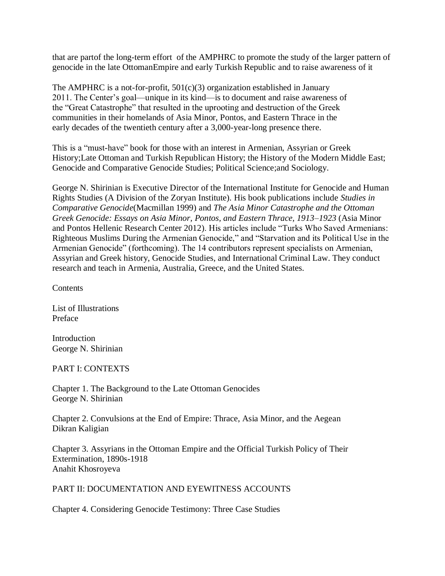that are partof the long-term effort of the AMPHRC to promote the study of the larger pattern of genocide in the late OttomanEmpire and early Turkish Republic and to raise awareness of it

The AMPHRC is a not-for-profit,  $501(c)(3)$  organization established in January 2011. The Center's goal—unique in its kind—is to document and raise awareness of the "Great Catastrophe" that resulted in the uprooting and destruction of the Greek communities in their homelands of Asia Minor, Pontos, and Eastern Thrace in the early decades of the twentieth century after a 3,000-year-long presence there.

This is a "must-have" book for those with an interest in Armenian, Assyrian or Greek History;Late Ottoman and Turkish Republican History; the History of the Modern Middle East; Genocide and Comparative Genocide Studies; Political Science;and Sociology.

George N. Shirinian is Executive Director of the International Institute for Genocide and Human Rights Studies (A Division of the Zoryan Institute). His book publications include *Studies in Comparative Genocide*(Macmillan 1999) and *The Asia Minor Catastrophe and the Ottoman Greek Genocide: Essays on Asia Minor, Pontos, and Eastern Thrace, 1913–1923* (Asia Minor and Pontos Hellenic Research Center 2012). His articles include "Turks Who Saved Armenians: Righteous Muslims During the Armenian Genocide," and "Starvation and its Political Use in the Armenian Genocide" (forthcoming). The 14 contributors represent specialists on Armenian, Assyrian and Greek history, Genocide Studies, and International Criminal Law. They conduct research and teach in Armenia, Australia, Greece, and the United States.

**Contents** 

List of Illustrations Preface

Introduction George N. Shirinian

## PART I: CONTEXTS

Chapter 1. The Background to the Late Ottoman Genocides George N. Shirinian

Chapter 2. Convulsions at the End of Empire: Thrace, Asia Minor, and the Aegean Dikran Kaligian

Chapter 3. Assyrians in the Ottoman Empire and the Official Turkish Policy of Their Extermination, 1890s-1918 Anahit Khosroyeva

## PART II: DOCUMENTATION AND EYEWITNESS ACCOUNTS

Chapter 4. Considering Genocide Testimony: Three Case Studies